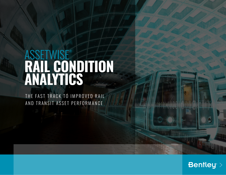# **ASSETWISE® RAIL CONDITION ANALYTICS**

THE FAST TRACK TO IMPROVED RAIL AND TRANSIT ASSET PERFORMANCE

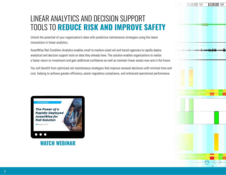### LINEAR ANALYTICS AND DECISION SUPPORT TOOLS TO **REDUCE RISK AND IMPROVE SAFETY**

Unlock the potential of your organization's data with predictive maintenance strategies using the latest innovations in linear analytics.

AssetWise Rail Condition Analytics enables small to medium-sized rail and transit agencies to rapidly deploy analytical and decision support tools on data they already have. The solution enables organizations to realize a faster return on investment and gain additional confidence as well as maintain linear assets now and in the future.

You will benefit from optimized rail maintenance strategies that improve renewal decisions with minimal time and cost, helping to achieve greater efficiency, easier regulatory compliance, and enhanced operational performance.



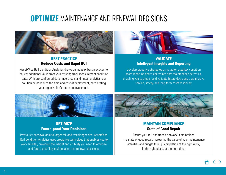## **OPTIMIZE** MAINTENANCE AND RENEWAL DECISIONS



#### **BEST PRACTICE Reduce Costs and Rapid ROI**

AssetWise Rail Condition Analytics draws on industry best practices to deliver additional value from your existing track measurement condition data. With pre-configured data import tools and linear analytics, our solution helps reduce the time and cost of deployment, accelerating your organization's return on investment.



#### **VALIDATE Intelligent Insights and Reporting**

Develop proactive strategies using automated key condition score reporting and visibility into past maintenance activities, enabling you to predict and validate future decisions that improve service, safety, and long-term asset reliability.



#### **OPTIMIZE Future-proof Your Decisions**

Previously only available to larger rail and transit agencies, AssetWise Rail Condition Analytics uses predictive technology that enables you to work smarter, providing the insight and visibility you need to optimize and future-proof key maintenance and renewal decisions.



#### **MAINTAIN COMPLIANCE State of Good Repair**

Ensure your rail and transit network is maintained in a state of good repair, increasing the value of your maintenance activities and budget through completion of the right work, in the right place, at the right time.